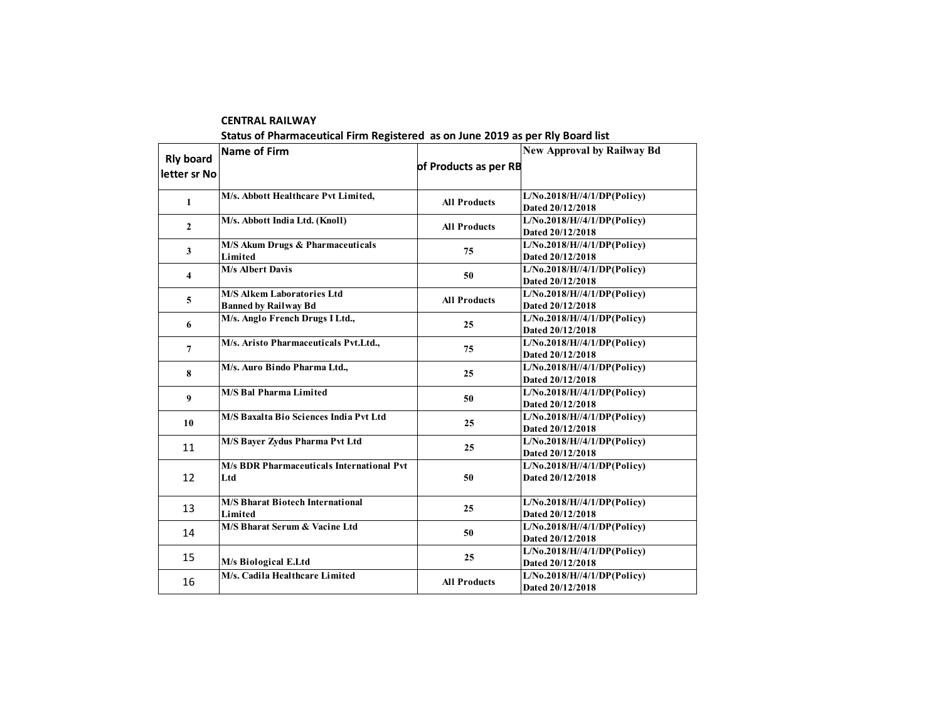|                                  | Status of Pharmaceutical Firm Registered as on June 2019 as per Rly Board list |                       |                                                    |
|----------------------------------|--------------------------------------------------------------------------------|-----------------------|----------------------------------------------------|
| <b>Rly board</b><br>letter sr No | Name of Firm                                                                   | of Products as per RB | <b>New Approval by Railway Bd</b>                  |
| $\mathbf{1}$                     | M/s. Abbott Healthcare Pvt Limited.                                            | <b>All Products</b>   | L/No.2018/H//4/1/DP(Policy)<br>Dated 20/12/2018    |
| $\overline{2}$                   | M/s. Abbott India Ltd. (Knoll)                                                 | <b>All Products</b>   | L/No.2018/H//4/1/DP(Policy)<br>Dated 20/12/2018    |
| 3                                | M/S Akum Drugs & Pharmaceuticals<br>Limited                                    | 75                    | L/No.2018/H//4/1/DP(Policy)<br>Dated 20/12/2018    |
| 4                                | <b>M/s Albert Davis</b>                                                        | 50                    | L/No.2018/H//4/1/DP(Policy)<br>Dated 20/12/2018    |
| 5                                | <b>M/S Alkem Laboratories Ltd</b><br><b>Banned by Railway Bd</b>               | <b>All Products</b>   | L/No.2018/H//4/1/DP(Policy)<br>Dated 20/12/2018    |
| 6                                | M/s. Anglo French Drugs I Ltd.,                                                | 25                    | L/No.2018/H//4/1/DP(Policy)<br>Dated 20/12/2018    |
| $\overline{7}$                   | M/s. Aristo Pharmaceuticals Pvt.Ltd.,                                          | 75                    | L/No.2018/H//4/1/DP(Policy)<br>Dated 20/12/2018    |
| 8                                | M/s. Auro Bindo Pharma Ltd.,                                                   | 25                    | L/No.2018/H//4/1/DP(Policy)<br>Dated 20/12/2018    |
| 9                                | <b>M/S Bal Pharma Limited</b>                                                  | 50                    | L/No.2018/H//4/1/DP(Policy)<br>Dated 20/12/2018    |
| 10                               | M/S Baxalta Bio Sciences India Pvt Ltd                                         | 25                    | L/No.2018/H//4/1/DP(Policy)<br>Dated 20/12/2018    |
| 11                               | M/S Bayer Zydus Pharma Pvt Ltd                                                 | 25                    | L/No.2018/H//4/1/DP(Policy)<br>Dated 20/12/2018    |
| 12                               | <b>M/s BDR Pharmaceuticals International Pvt</b><br>Ltd                        | 50                    | $L/N0$ .2018/H//4/1/DP(Policy)<br>Dated 20/12/2018 |
| 13                               | <b>M/S Bharat Biotech International</b><br>Limited                             | 25                    | L/No.2018/H//4/1/DP(Policy)<br>Dated 20/12/2018    |
| 14                               | M/S Bharat Serum & Vacine Ltd                                                  | 50                    | L/No.2018/H//4/1/DP(Policy)<br>Dated 20/12/2018    |
| 15                               | M/s Biological E.Ltd                                                           | 25                    | L/No.2018/H//4/1/DP(Policy)<br>Dated 20/12/2018    |
| 16                               | M/s. Cadila Healthcare Limited                                                 | <b>All Products</b>   | L/No.2018/H//4/1/DP(Policy)<br>Dated 20/12/2018    |

**CENTRAL RAILWAY**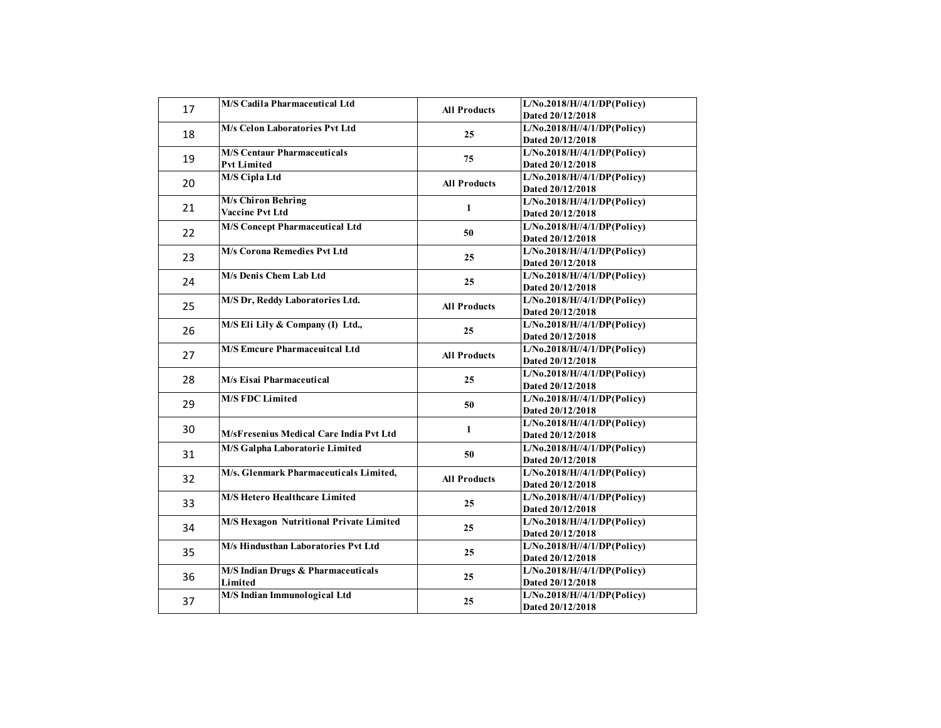| 17 | <b>M/S Cadila Pharmaceutical Ltd</b>                     | <b>All Products</b> | L/No.2018/H//4/1/DP(Policy)<br>Dated 20/12/2018             |
|----|----------------------------------------------------------|---------------------|-------------------------------------------------------------|
| 18 | M/s Celon Laboratories Pvt Ltd                           | 25                  | $L/\overline{No.2018/H}/4/1/DP(Policy)$<br>Dated 20/12/2018 |
| 19 | <b>M/S Centaur Pharmaceuticals</b><br><b>Pvt Limited</b> | 75                  | L/No.2018/H//4/1/DP(Policy)<br>Dated 20/12/2018             |
| 20 | <b>M/S Cipla Ltd</b>                                     | <b>All Products</b> | L/No.2018/H//4/1/DP(Policy)<br>Dated 20/12/2018             |
| 21 | <b>M/s Chiron Behring</b><br><b>Vaccine Pvt Ltd</b>      | $\mathbf{1}$        | L/No.2018/H//4/1/DP(Policy)<br>Dated 20/12/2018             |
| 22 | <b>M/S Concept Pharmaceutical Ltd</b>                    | 50                  | L/No.2018/H//4/1/DP(Policy)<br>Dated 20/12/2018             |
| 23 | <b>M/s Corona Remedies Pvt Ltd</b>                       | 25                  | L/No.2018/H//4/1/DP(Policy)<br>Dated 20/12/2018             |
| 24 | M/s Denis Chem Lab Ltd                                   | 25                  | L/No.2018/H//4/1/DP(Policy)<br>Dated 20/12/2018             |
| 25 | M/S Dr, Reddy Laboratories Ltd.                          | <b>All Products</b> | L/No.2018/H//4/1/DP(Policy)<br>Dated 20/12/2018             |
| 26 | M/S Eli Lily & Company (I) Ltd.,                         | 25                  | L/No.2018/H//4/1/DP(Policy)<br>Dated 20/12/2018             |
| 27 | <b>M/S Emcure Pharmaceuitcal Ltd</b>                     | <b>All Products</b> | L/No.2018/H//4/1/DP(Policy)<br>Dated 20/12/2018             |
| 28 | M/s Eisai Pharmaceutical                                 | 25                  | L/No.2018/H//4/1/DP(Policy)<br>Dated 20/12/2018             |
| 29 | <b>M/S FDC Limited</b>                                   | 50                  | L/No.2018/H//4/1/DP(Policy)<br>Dated 20/12/2018             |
| 30 | M/sFresenius Medical Care India Pvt Ltd                  | $\mathbf{1}$        | L/No.2018/H//4/1/DP(Policy)<br>Dated 20/12/2018             |
| 31 | <b>M/S Galpha Laboratorie Limited</b>                    | 50                  | L/No.2018/H//4/1/DP(Policy)<br>Dated 20/12/2018             |
| 32 | M/s. Glenmark Pharmaceuticals Limited,                   | <b>All Products</b> | L/No.2018/H//4/1/DP(Policy)<br>Dated 20/12/2018             |
| 33 | <b>M/S Hetero Healthcare Limited</b>                     | 25                  | L/No.2018/H//4/1/DP(Policy)<br>Dated 20/12/2018             |
| 34 | M/S Hexagon Nutritional Private Limited                  | 25                  | L/No.2018/H//4/1/DP(Policy)<br>Dated 20/12/2018             |
| 35 | M/s Hindusthan Laboratories Pvt Ltd                      | 25                  | L/No.2018/H//4/1/DP(Policy)<br>Dated 20/12/2018             |
| 36 | M/S Indian Drugs & Pharmaceuticals<br>Limited            | 25                  | L/No.2018/H//4/1/DP(Policy)<br>Dated 20/12/2018             |
| 37 | M/S Indian Immunological Ltd                             | 25                  | L/No.2018/H//4/1/DP(Policy)<br>Dated 20/12/2018             |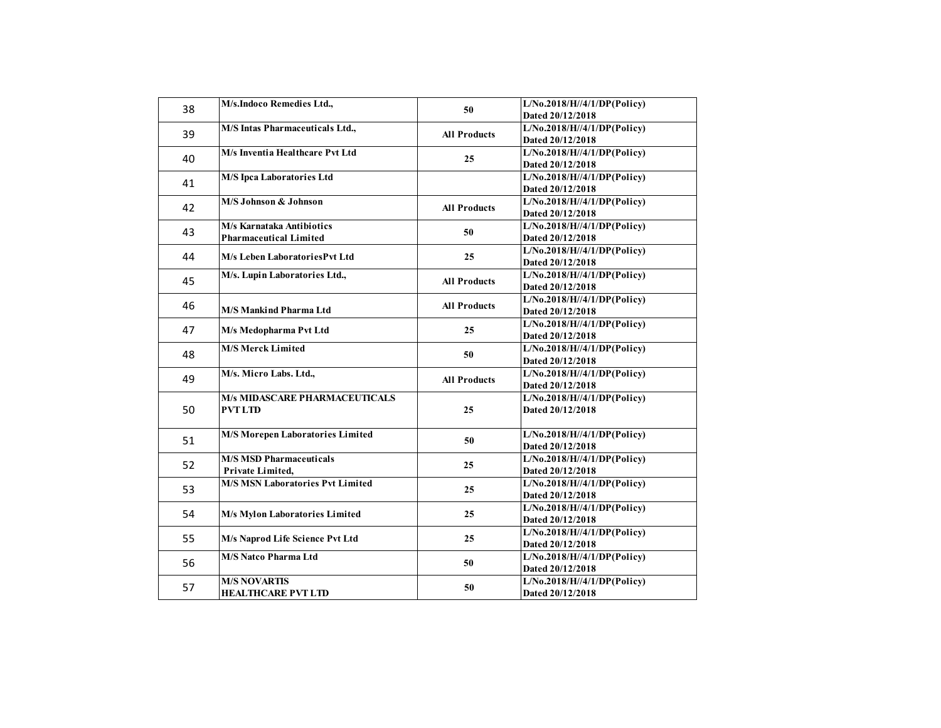| M/s.Indoco Remedies Ltd.,<br>38<br>50<br>M/S Intas Pharmaceuticals Ltd.,<br>39<br><b>All Products</b><br>M/s Inventia Healthcare Pvt Ltd<br>40<br>25<br><b>M/S Ipca Laboratories Ltd</b> | L/No.2018/H//4/1/DP(Policy)<br>Dated 20/12/2018<br>L/No.2018/H//4/1/DP(Policy)<br>Dated 20/12/2018 |
|------------------------------------------------------------------------------------------------------------------------------------------------------------------------------------------|----------------------------------------------------------------------------------------------------|
|                                                                                                                                                                                          |                                                                                                    |
|                                                                                                                                                                                          |                                                                                                    |
|                                                                                                                                                                                          | L/No.2018/H//4/1/DP(Policy)<br>Dated 20/12/2018                                                    |
| 41                                                                                                                                                                                       | L/No.2018/H//4/1/DP(Policy)<br>Dated 20/12/2018                                                    |
| M/S Johnson & Johnson<br>42<br><b>All Products</b>                                                                                                                                       | L/No.2018/H//4/1/DP(Policy)<br>Dated 20/12/2018                                                    |
| M/s Karnataka Antibiotics<br>43<br>50<br><b>Pharmaceutical Limited</b>                                                                                                                   | L/No.2018/H//4/1/DP(Policy)<br>Dated 20/12/2018                                                    |
| 44<br>25<br>M/s Leben LaboratoriesPvt Ltd                                                                                                                                                | L/No.2018/H//4/1/DP(Policy)<br>Dated 20/12/2018                                                    |
| M/s. Lupin Laboratories Ltd.,<br>45<br><b>All Products</b>                                                                                                                               | L/No.2018/H//4/1/DP(Policy)<br>Dated 20/12/2018                                                    |
| 46<br><b>All Products</b><br><b>M/S Mankind Pharma Ltd</b>                                                                                                                               | L/No.2018/H//4/1/DP(Policy)<br>Dated 20/12/2018                                                    |
| 47<br>25<br>M/s Medopharma Pvt Ltd                                                                                                                                                       | L/No.2018/H//4/1/DP(Policy)<br>Dated 20/12/2018                                                    |
| <b>M/S Merck Limited</b><br>48<br>50                                                                                                                                                     | L/No.2018/H//4/1/DP(Policy)<br>Dated 20/12/2018                                                    |
| M/s. Micro Labs. Ltd.,<br>49<br><b>All Products</b>                                                                                                                                      | L/No.2018/H//4/1/DP(Policy)<br>Dated 20/12/2018                                                    |
| <b>M/s MIDASCARE PHARMACEUTICALS</b><br>50<br><b>PVTLTD</b><br>25                                                                                                                        | L/No.2018/H//4/1/DP(Policy)<br>Dated 20/12/2018                                                    |
| <b>M/S Morepen Laboratories Limited</b><br>51<br>50                                                                                                                                      | L/No.2018/H//4/1/DP(Policy)<br>Dated 20/12/2018                                                    |
| <b>M/S MSD Pharmaceuticals</b><br>52<br>25<br>Private Limited,                                                                                                                           | L/No.2018/H//4/1/DP(Policy)<br>Dated 20/12/2018                                                    |
| <b>M/S MSN Laboratories Pvt Limited</b><br>53<br>25                                                                                                                                      | L/No.2018/H//4/1/DP(Policy)<br>Dated 20/12/2018                                                    |
| 54<br>M/s Mylon Laboratories Limited<br>25                                                                                                                                               | L/No.2018/H//4/1/DP(Policy)<br>Dated 20/12/2018                                                    |
| 55<br>M/s Naprod Life Science Pvt Ltd<br>25                                                                                                                                              | L/No.2018/H//4/1/DP(Policy)<br>Dated 20/12/2018                                                    |
| <b>M/S Natco Pharma Ltd</b><br>56<br>50                                                                                                                                                  | L/No.2018/H//4/1/DP(Policy)<br>Dated 20/12/2018                                                    |
| <b>M/S NOVARTIS</b><br>57<br>50<br><b>HEALTHCARE PVT LTD</b>                                                                                                                             | L/No.2018/H//4/1/DP(Policy)<br>Dated 20/12/2018                                                    |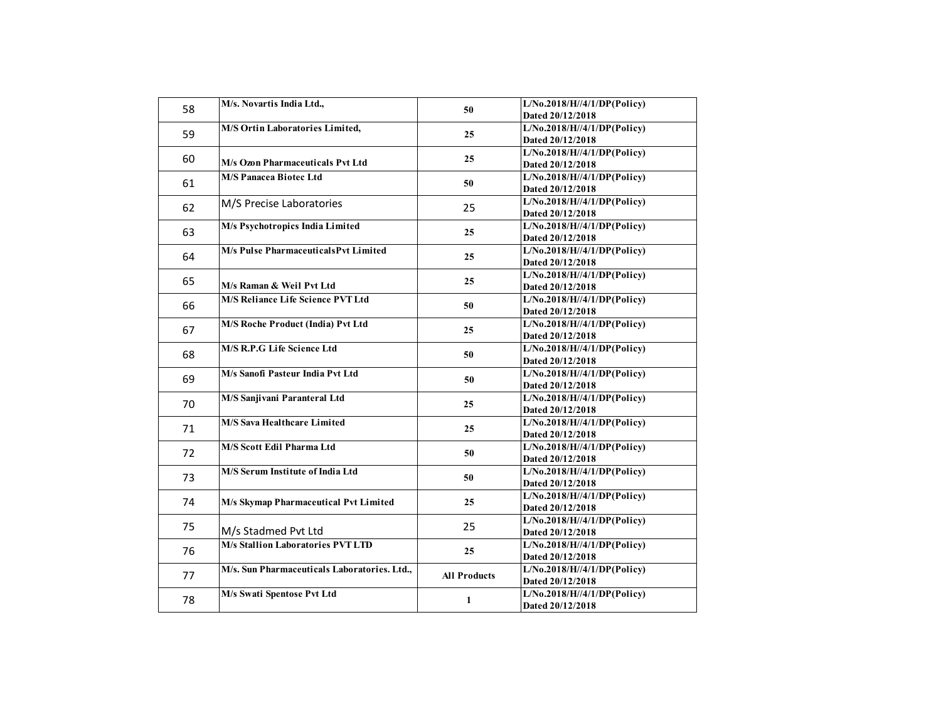| 58 | M/s. Novartis India Ltd.,                    | 50                  | L/No.2018/H//4/1/DP(Policy)<br>Dated 20/12/2018 |
|----|----------------------------------------------|---------------------|-------------------------------------------------|
| 59 | M/S Ortin Laboratories Limited,              | 25                  | L/No.2018/H//4/1/DP(Policy)<br>Dated 20/12/2018 |
| 60 | M/s Ozon Pharmaceuticals Pvt Ltd             | 25                  | L/No.2018/H//4/1/DP(Policy)<br>Dated 20/12/2018 |
| 61 | <b>M/S Panacea Biotec Ltd</b>                | 50                  | L/No.2018/H//4/1/DP(Policy)<br>Dated 20/12/2018 |
| 62 | M/S Precise Laboratories                     | 25                  | L/No.2018/H//4/1/DP(Policy)<br>Dated 20/12/2018 |
| 63 | M/s Psychotropics India Limited              | 25                  | L/No.2018/H//4/1/DP(Policy)<br>Dated 20/12/2018 |
| 64 | M/s Pulse PharmaceuticalsPvt Limited         | 25                  | L/No.2018/H//4/1/DP(Policy)<br>Dated 20/12/2018 |
| 65 | M/s Raman & Weil Pvt Ltd                     | 25                  | L/No.2018/H//4/1/DP(Policy)<br>Dated 20/12/2018 |
| 66 | <b>M/S Reliance Life Science PVT Ltd</b>     | 50                  | L/No.2018/H//4/1/DP(Policy)<br>Dated 20/12/2018 |
| 67 | <b>M/S Roche Product (India) Pvt Ltd</b>     | 25                  | L/No.2018/H//4/1/DP(Policy)<br>Dated 20/12/2018 |
| 68 | M/S R.P.G Life Science Ltd                   | 50                  | L/No.2018/H//4/1/DP(Policy)<br>Dated 20/12/2018 |
| 69 | M/s Sanofi Pasteur India Pvt Ltd             | 50                  | L/No.2018/H//4/1/DP(Policy)<br>Dated 20/12/2018 |
| 70 | M/S Sanjivani Paranteral Ltd                 | 25                  | L/No.2018/H//4/1/DP(Policy)<br>Dated 20/12/2018 |
| 71 | <b>M/S Sava Healthcare Limited</b>           | 25                  | L/No.2018/H//4/1/DP(Policy)<br>Dated 20/12/2018 |
| 72 | <b>M/S Scott Edil Pharma Ltd</b>             | 50                  | L/No.2018/H//4/1/DP(Policy)<br>Dated 20/12/2018 |
| 73 | M/S Serum Institute of India Ltd             | 50                  | L/No.2018/H//4/1/DP(Policy)<br>Dated 20/12/2018 |
| 74 | M/s Skymap Pharmaceutical Pvt Limited        | 25                  | L/No.2018/H//4/1/DP(Policy)<br>Dated 20/12/2018 |
| 75 | M/s Stadmed Pvt Ltd                          | 25                  | L/No.2018/H//4/1/DP(Policy)<br>Dated 20/12/2018 |
| 76 | <b>M/s Stallion Laboratories PVT LTD</b>     | 25                  | L/No.2018/H//4/1/DP(Policy)<br>Dated 20/12/2018 |
| 77 | M/s. Sun Pharmaceuticals Laboratories. Ltd., | <b>All Products</b> | L/No.2018/H//4/1/DP(Policy)<br>Dated 20/12/2018 |
| 78 | M/s Swati Spentose Pvt Ltd                   | 1                   | L/No.2018/H//4/1/DP(Policy)<br>Dated 20/12/2018 |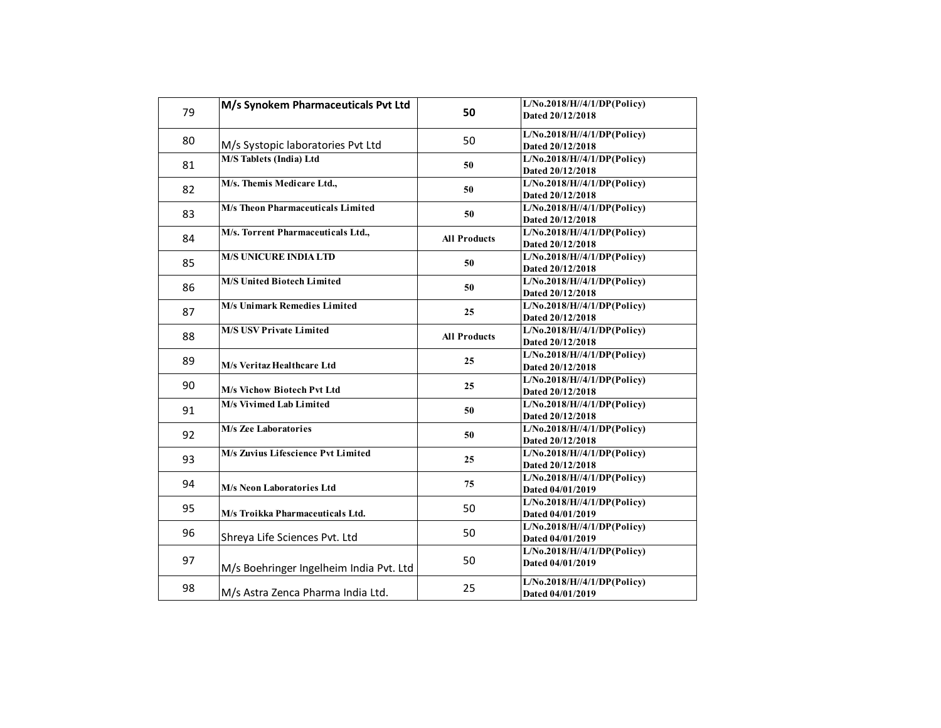| 79 | M/s Synokem Pharmaceuticals Pvt Ltd      | 50                  | L/No.2018/H//4/1/DP(Policy)<br>Dated 20/12/2018 |
|----|------------------------------------------|---------------------|-------------------------------------------------|
| 80 | M/s Systopic laboratories Pvt Ltd        | 50                  | L/No.2018/H//4/1/DP(Policy)<br>Dated 20/12/2018 |
| 81 | M/S Tablets (India) Ltd                  | 50                  | L/No.2018/H//4/1/DP(Policy)<br>Dated 20/12/2018 |
| 82 | M/s. Themis Medicare Ltd.,               | 50                  | L/No.2018/H//4/1/DP(Policy)<br>Dated 20/12/2018 |
| 83 | <b>M/s Theon Pharmaceuticals Limited</b> | 50                  | L/No.2018/H//4/1/DP(Policy)<br>Dated 20/12/2018 |
| 84 | M/s. Torrent Pharmaceuticals Ltd.,       | <b>All Products</b> | L/No.2018/H//4/1/DP(Policy)<br>Dated 20/12/2018 |
| 85 | <b>M/S UNICURE INDIA LTD</b>             | 50                  | L/No.2018/H//4/1/DP(Policy)<br>Dated 20/12/2018 |
| 86 | <b>M/S United Biotech Limited</b>        | 50                  | L/No.2018/H//4/1/DP(Policy)<br>Dated 20/12/2018 |
| 87 | M/s Unimark Remedies Limited             | 25                  | L/No.2018/H//4/1/DP(Policy)<br>Dated 20/12/2018 |
| 88 | <b>M/S USV Private Limited</b>           | <b>All Products</b> | L/No.2018/H//4/1/DP(Policy)<br>Dated 20/12/2018 |
| 89 | M/s Veritaz Healthcare Ltd               | 25                  | L/No.2018/H//4/1/DP(Policy)<br>Dated 20/12/2018 |
| 90 | <b>M/s Vichow Biotech Pvt Ltd</b>        | 25                  | L/No.2018/H//4/1/DP(Policy)<br>Dated 20/12/2018 |
| 91 | M/s Vivimed Lab Limited                  | 50                  | L/No.2018/H//4/1/DP(Policy)<br>Dated 20/12/2018 |
| 92 | <b>M/s Zee Laboratories</b>              | 50                  | L/No.2018/H//4/1/DP(Policy)<br>Dated 20/12/2018 |
| 93 | M/s Zuvius Lifescience Pvt Limited       | 25                  | L/No.2018/H//4/1/DP(Policy)<br>Dated 20/12/2018 |
| 94 | M/s Neon Laboratories Ltd                | 75                  | L/No.2018/H//4/1/DP(Policy)<br>Dated 04/01/2019 |
| 95 | M/s Troikka Pharmaceuticals Ltd.         | 50                  | L/No.2018/H//4/1/DP(Policy)<br>Dated 04/01/2019 |
| 96 | Shreya Life Sciences Pvt. Ltd            | 50                  | L/No.2018/H//4/1/DP(Policy)<br>Dated 04/01/2019 |
| 97 | M/s Boehringer Ingelheim India Pvt. Ltd  | 50                  | L/No.2018/H//4/1/DP(Policy)<br>Dated 04/01/2019 |
| 98 | M/s Astra Zenca Pharma India Ltd.        | 25                  | L/No.2018/H//4/1/DP(Policy)<br>Dated 04/01/2019 |